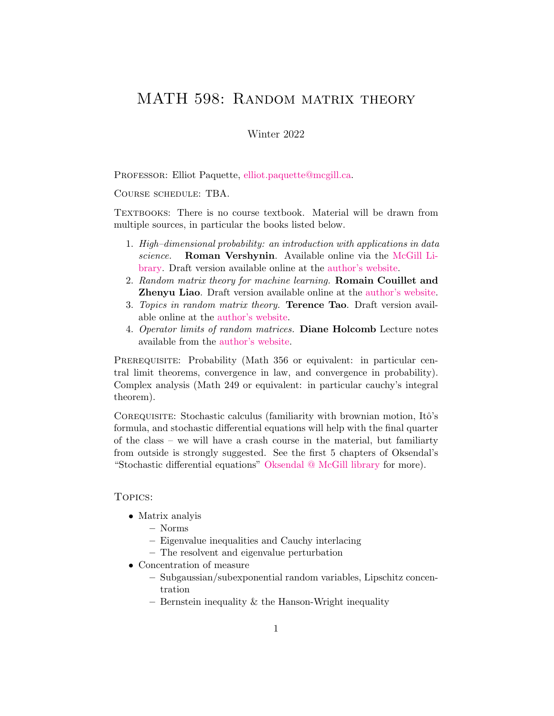# <span id="page-0-0"></span>MATH 598: RANDOM MATRIX THEORY

## Winter 2022

Professor: Elliot Paquette, [elliot.paquette@mcgill.ca.](mailto:elliot.paquette@mcgill.ca)

Course schedule: TBA.

TEXTBOOKS: There is no course textbook. Material will be drawn from multiple sources, in particular the books listed below.

- 1. High–dimensional probability: an introduction with applications in data science. Roman Vershynin. Available online via the [McGill Li](https://mcgill.on.worldcat.org/v2/oclc/1077725888)[brary.](https://mcgill.on.worldcat.org/v2/oclc/1077725888) Draft version available online at the [author's website.](https://www.math.uci.edu/~rvershyn/papers/HDP-book/HDP-book.pdf)
- 2. Random matrix theory for machine learning. Romain Couillet and Zhenyu Liao. Draft version available online at the [author's website.](https://zhenyu-liao.github.io/book/)
- 3. Topics in random matrix theory. Terence Tao. Draft version available online at the [author's website.](https://terrytao.files.wordpress.com/2011/02/matrix-book.pdf)
- 4. Operator limits of random matrices. Diane Holcomb Lecture notes available from the [author's website.](https://people.kth.se/~holcomb/ShortCourseNotes.pdf)

PREREQUISITE: Probability (Math 356 or equivalent: in particular central limit theorems, convergence in law, and convergence in probability). Complex analysis (Math 249 or equivalent: in particular cauchy's integral theorem).

COREQUISITE: Stochastic calculus (familiarity with brownian motion, Itô's formula, and stochastic differential equations will help with the final quarter of the class – we will have a crash course in the material, but familiarty from outside is strongly suggested. See the first 5 chapters of Oksendal's "Stochastic differential equations" [Oksendal @ McGill library](https://mcgill.on.worldcat.org/v2/oclc/778368218) for more).

#### Topics:

- Matrix analyis
	- Norms
	- Eigenvalue inequalities and Cauchy interlacing
	- The resolvent and eigenvalue perturbation
- Concentration of measure
	- Subgaussian/subexponential random variables, Lipschitz concentration
	- Bernstein inequality  $\&$  the Hanson-Wright inequality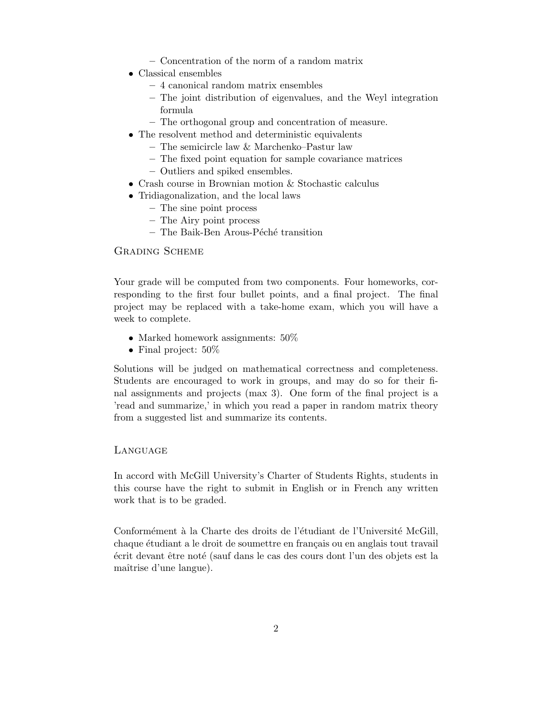- Concentration of the norm of a random matrix
- Classical ensembles
	- 4 canonical random matrix ensembles
	- The joint distribution of eigenvalues, and the Weyl integration formula
	- The orthogonal group and concentration of measure.
- The resolvent method and deterministic equivalents
	- The semicircle law & Marchenko–Pastur law
	- The fixed point equation for sample covariance matrices
	- Outliers and spiked ensembles.
- Crash course in Brownian motion & Stochastic calculus
- Tridiagonalization, and the local laws
	- The sine point process
	- The Airy point process
	- $-$  The Baik-Ben Arous-Péché transition

#### Grading Scheme

Your grade will be computed from two components. Four homeworks, corresponding to the first four bullet points, and a final project. The final project may be replaced with a take-home exam, which you will have a week to complete.

- Marked homework assignments:  $50\%$
- Final project:  $50\%$

Solutions will be judged on mathematical correctness and completeness. Students are encouraged to work in groups, and may do so for their final assignments and projects (max 3). One form of the final project is a 'read and summarize,' in which you read a paper in random matrix theory from a suggested list and summarize its contents.

#### **LANGUAGE**

In accord with McGill University's Charter of Students Rights, students in this course have the right to submit in English or in French any written work that is to be graded.

Conformément à la Charte des droits de l'étudiant de l'Université McGill, chaque étudiant a le droit de soumettre en français ou en anglais tout travail  $\acute{e}$ crit devant être noté (sauf dans le cas des cours dont l'un des objets est la maîtrise d'une langue).